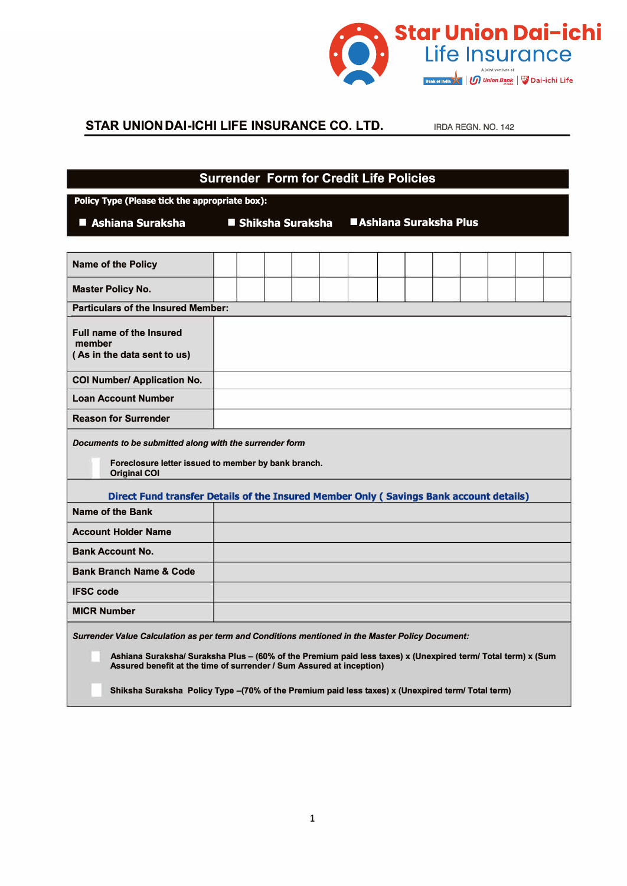

## **STAR UNION DAI-ICHI LIFE INSURANCE CO. LTD.** IRDA REGN. NO. 142

| <b>Surrender Form for Credit Life Policies</b>                                                                                                                                                                                                                                          |                    |  |  |  |                         |  |  |  |  |  |  |  |
|-----------------------------------------------------------------------------------------------------------------------------------------------------------------------------------------------------------------------------------------------------------------------------------------|--------------------|--|--|--|-------------------------|--|--|--|--|--|--|--|
| Policy Type (Please tick the appropriate box):                                                                                                                                                                                                                                          |                    |  |  |  |                         |  |  |  |  |  |  |  |
| ■ Ashiana Suraksha                                                                                                                                                                                                                                                                      | ■ Shiksha Suraksha |  |  |  | ■ Ashiana Suraksha Plus |  |  |  |  |  |  |  |
|                                                                                                                                                                                                                                                                                         |                    |  |  |  |                         |  |  |  |  |  |  |  |
| <b>Name of the Policy</b>                                                                                                                                                                                                                                                               |                    |  |  |  |                         |  |  |  |  |  |  |  |
| <b>Master Policy No.</b>                                                                                                                                                                                                                                                                |                    |  |  |  |                         |  |  |  |  |  |  |  |
| <b>Particulars of the Insured Member:</b>                                                                                                                                                                                                                                               |                    |  |  |  |                         |  |  |  |  |  |  |  |
| <b>Full name of the Insured</b><br>member<br>(As in the data sent to us)                                                                                                                                                                                                                |                    |  |  |  |                         |  |  |  |  |  |  |  |
| <b>COI Number/ Application No.</b>                                                                                                                                                                                                                                                      |                    |  |  |  |                         |  |  |  |  |  |  |  |
| <b>Loan Account Number</b>                                                                                                                                                                                                                                                              |                    |  |  |  |                         |  |  |  |  |  |  |  |
| <b>Reason for Surrender</b>                                                                                                                                                                                                                                                             |                    |  |  |  |                         |  |  |  |  |  |  |  |
| Documents to be submitted along with the surrender form<br>Foreclosure letter issued to member by bank branch.<br><b>Original COI</b><br>Direct Fund transfer Details of the Insured Member Only (Savings Bank account details)                                                         |                    |  |  |  |                         |  |  |  |  |  |  |  |
| Name of the Bank                                                                                                                                                                                                                                                                        |                    |  |  |  |                         |  |  |  |  |  |  |  |
| <b>Account Holder Name</b>                                                                                                                                                                                                                                                              |                    |  |  |  |                         |  |  |  |  |  |  |  |
|                                                                                                                                                                                                                                                                                         |                    |  |  |  |                         |  |  |  |  |  |  |  |
| <b>Bank Account No.</b>                                                                                                                                                                                                                                                                 |                    |  |  |  |                         |  |  |  |  |  |  |  |
| <b>Bank Branch Name &amp; Code</b>                                                                                                                                                                                                                                                      |                    |  |  |  |                         |  |  |  |  |  |  |  |
| <b>IFSC code</b>                                                                                                                                                                                                                                                                        |                    |  |  |  |                         |  |  |  |  |  |  |  |
| <b>MICR Number</b>                                                                                                                                                                                                                                                                      |                    |  |  |  |                         |  |  |  |  |  |  |  |
| Surrender Value Calculation as per term and Conditions mentioned in the Master Policy Document:<br>Ashiana Suraksha/ Suraksha Plus – (60% of the Premium paid less taxes) x (Unexpired term/ Total term) x (Sum<br>Assured benefit at the time of surrender / Sum Assured at inception) |                    |  |  |  |                         |  |  |  |  |  |  |  |
| Shiksha Suraksha Policy Type -(70% of the Premium paid less taxes) x (Unexpired term/ Total term)                                                                                                                                                                                       |                    |  |  |  |                         |  |  |  |  |  |  |  |